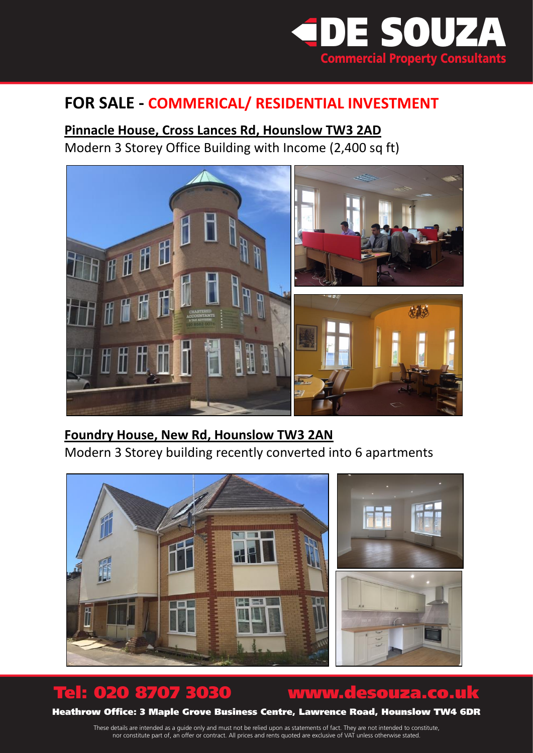

### **FOR SALE - COMMERICAL/ RESIDENTIAL INVESTMENT**

**Pinnacle House, Cross Lances Rd, Hounslow TW3 2AD** Modern 3 Storey Office Building with Income (2,400 sq ft)



#### **Foundry House, New Rd, Hounslow TW3 2AN**

Modern 3 Storey building recently converted into 6 apartments



# Tel: 020 8707 3030 www.desouza.co.uk

Heathrow Office: 3 Maple Grove Business Centre, Lawrence Road, Hounslow TW4 6DR

These details are intended as a guide only and must not be relied upon as statements of fact. They are not intended to constitute, nor constitute part of, an offer or contract. All prices and rents quoted are exclusive of VAT unless otherwise stated.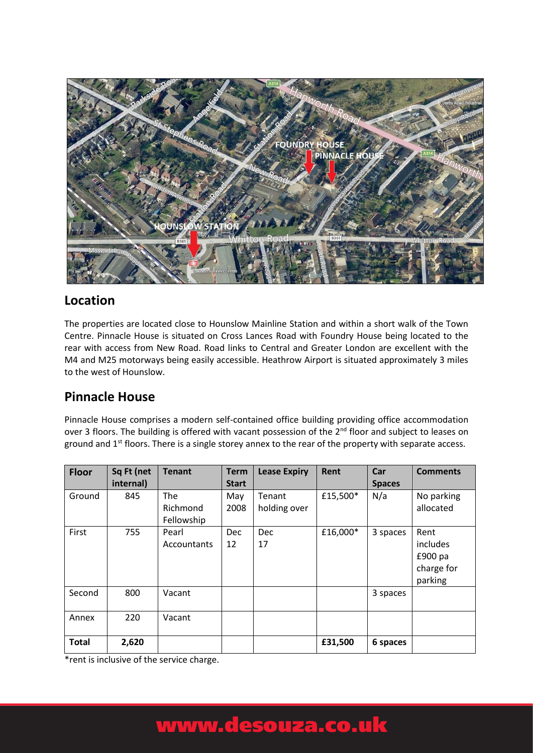

#### **Location**

The properties are located close to Hounslow Mainline Station and within a short walk of the Town Centre. Pinnacle House is situated on Cross Lances Road with Foundry House being located to the rear with access from New Road. Road links to Central and Greater London are excellent with the M4 and M25 motorways being easily accessible. Heathrow Airport is situated approximately 3 miles to the west of Hounslow.

#### **Pinnacle House**

Pinnacle House comprises a modern self-contained office building providing office accommodation over 3 floors. The building is offered with vacant possession of the 2<sup>nd</sup> floor and subject to leases on ground and 1<sup>st</sup> floors. There is a single storey annex to the rear of the property with separate access.

| <b>Floor</b> | Sq Ft (net<br>internal) | <b>Tenant</b>                 | <b>Term</b><br><b>Start</b> | <b>Lease Expiry</b>    | Rent     | Car<br><b>Spaces</b> | <b>Comments</b>                                        |
|--------------|-------------------------|-------------------------------|-----------------------------|------------------------|----------|----------------------|--------------------------------------------------------|
| Ground       | 845                     | The<br>Richmond<br>Fellowship | May<br>2008                 | Tenant<br>holding over | £15,500* | N/a                  | No parking<br>allocated                                |
| First        | 755                     | Pearl<br>Accountants          | <b>Dec</b><br>12            | <b>Dec</b><br>17       | £16,000* | 3 spaces             | Rent<br>includes<br>£900 $pa$<br>charge for<br>parking |
| Second       | 800                     | Vacant                        |                             |                        |          | 3 spaces             |                                                        |
| Annex        | 220                     | Vacant                        |                             |                        |          |                      |                                                        |
| <b>Total</b> | 2,620                   |                               |                             |                        | £31,500  | 6 spaces             |                                                        |

\*rent is inclusive of the service charge.

### www.desouza.co.uk